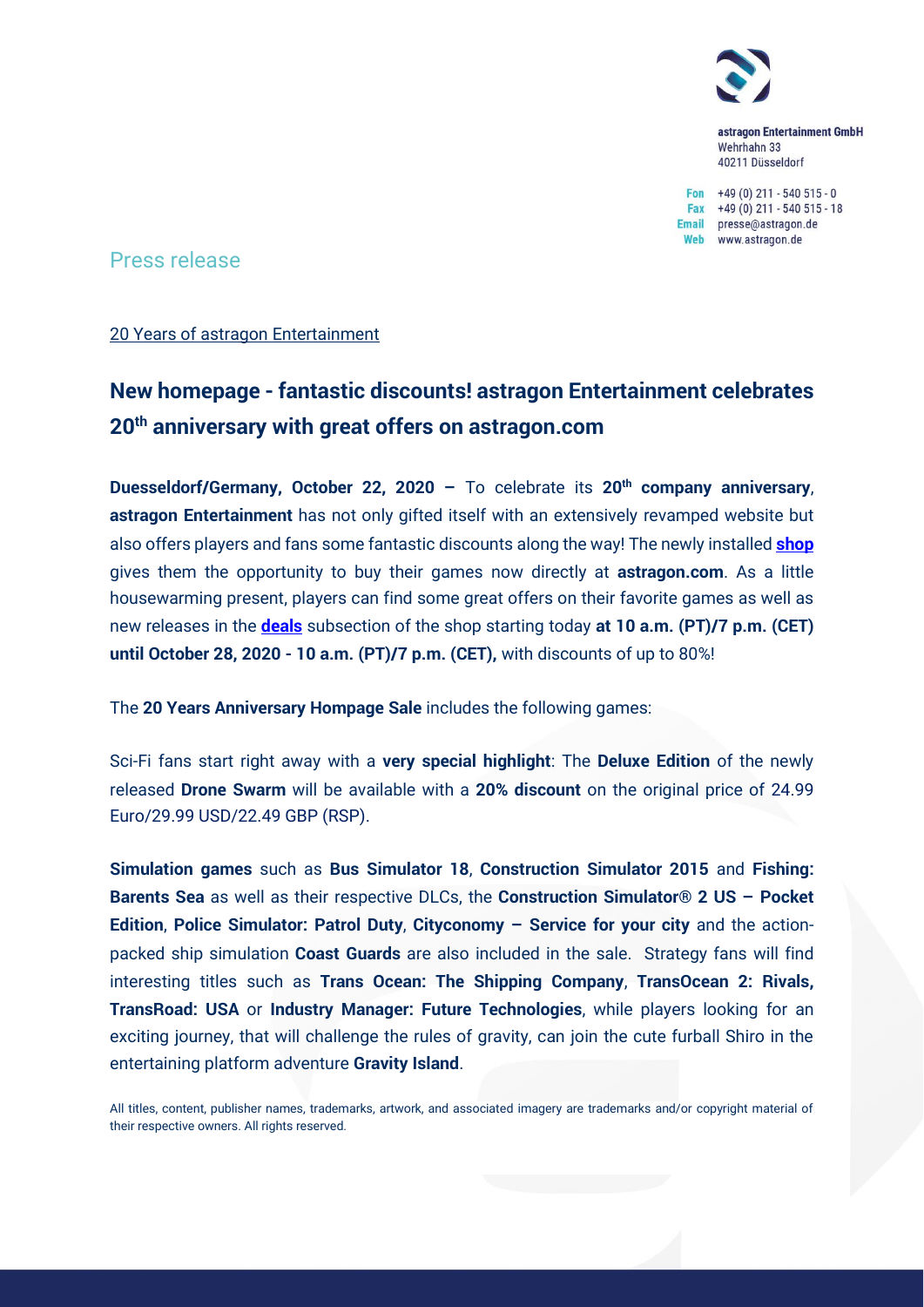

astragon Entertainment GmbH Wehrhahn 33 40211 Düsseldorf

Fon  $+49(0)$  211 - 540 515 - 0 Fax  $+49(0)$  211 - 540 515 - 18 Email presse@astragon.de Web www.astragon.de

Press release

20 Years of astragon Entertainment

## **New homepage - fantastic discounts! astragon Entertainment celebrates 20th anniversary with great offers on astragon.com**

**Duesseldorf/Germany, October 22, 2020 –** To celebrate its **20th company anniversary**, **astragon Entertainment** has not only gifted itself with an extensively revamped website but also offers players and fans some fantastic discounts along the way! The newly installed **[shop](https://www.astragon.com/games)** gives them the opportunity to buy their games now directly at **astragon.com**. As a little housewarming present, players can find some great offers on their favorite games as well as new releases in the **[deals](https://www.astragon.com/deals)** subsection of the shop starting today **at 10 a.m. (PT)/7 p.m. (CET) until October 28, 2020 - 10 a.m. (PT)/7 p.m. (CET),** with discounts of up to 80%!

The **20 Years Anniversary Hompage Sale** includes the following games:

Sci-Fi fans start right away with a **very special highlight**: The **Deluxe Edition** of the newly released **Drone Swarm** will be available with a **20% discount** on the original price of 24.99 Euro/29.99 USD/22.49 GBP (RSP).

**Simulation games** such as **Bus Simulator 18**, **Construction Simulator 2015** and **Fishing: Barents Sea** as well as their respective DLCs, the **Construction Simulator® 2 US – Pocket Edition**, **Police Simulator: Patrol Duty**, **Cityconomy – Service for your city** and the actionpacked ship simulation **Coast Guards** are also included in the sale. Strategy fans will find interesting titles such as **Trans Ocean: The Shipping Company**, **TransOcean 2: Rivals, TransRoad: USA** or **Industry Manager: Future Technologies**, while players looking for an exciting journey, that will challenge the rules of gravity, can join the cute furball Shiro in the entertaining platform adventure **Gravity Island**.

All titles, content, publisher names, trademarks, artwork, and associated imagery are trademarks and/or copyright material of their respective owners. All rights reserved.